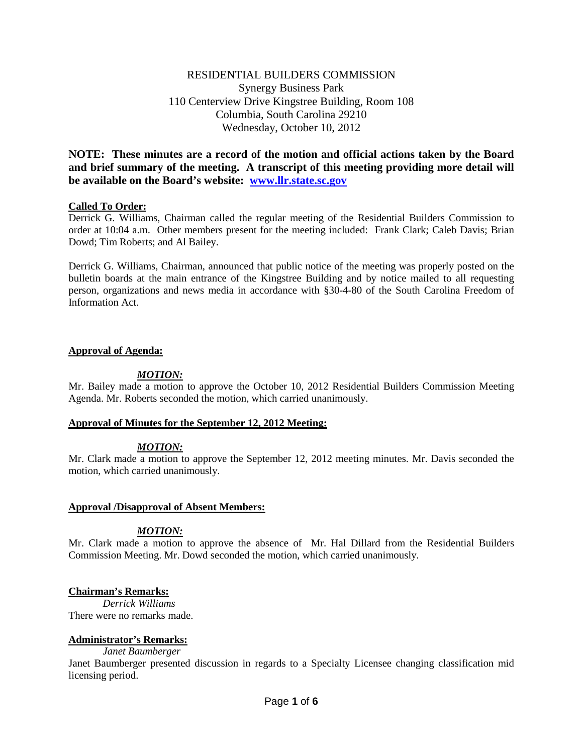# RESIDENTIAL BUILDERS COMMISSION Synergy Business Park 110 Centerview Drive Kingstree Building, Room 108 Columbia, South Carolina 29210 Wednesday, October 10, 2012

**NOTE: These minutes are a record of the motion and official actions taken by the Board and brief summary of the meeting. A transcript of this meeting providing more detail will be available on the Board's website: [www.llr.state.sc.gov](http://www.llr.state.sc.gov/)**

## **Called To Order:**

Derrick G. Williams, Chairman called the regular meeting of the Residential Builders Commission to order at 10:04 a.m. Other members present for the meeting included: Frank Clark; Caleb Davis; Brian Dowd; Tim Roberts; and Al Bailey.

Derrick G. Williams, Chairman, announced that public notice of the meeting was properly posted on the bulletin boards at the main entrance of the Kingstree Building and by notice mailed to all requesting person, organizations and news media in accordance with §30-4-80 of the South Carolina Freedom of Information Act.

## **Approval of Agenda:**

## *MOTION:*

Mr. Bailey made a motion to approve the October 10, 2012 Residential Builders Commission Meeting Agenda. Mr. Roberts seconded the motion, which carried unanimously.

## **Approval of Minutes for the September 12, 2012 Meeting:**

# *MOTION:*

Mr. Clark made a motion to approve the September 12, 2012 meeting minutes. Mr. Davis seconded the motion, which carried unanimously.

## **Approval /Disapproval of Absent Members:**

## *MOTION:*

Mr. Clark made a motion to approve the absence of Mr. Hal Dillard from the Residential Builders Commission Meeting. Mr. Dowd seconded the motion, which carried unanimously.

## **Chairman's Remarks:**

*Derrick Williams* There were no remarks made.

## **Administrator's Remarks:**

*Janet Baumberger*

Janet Baumberger presented discussion in regards to a Specialty Licensee changing classification mid licensing period.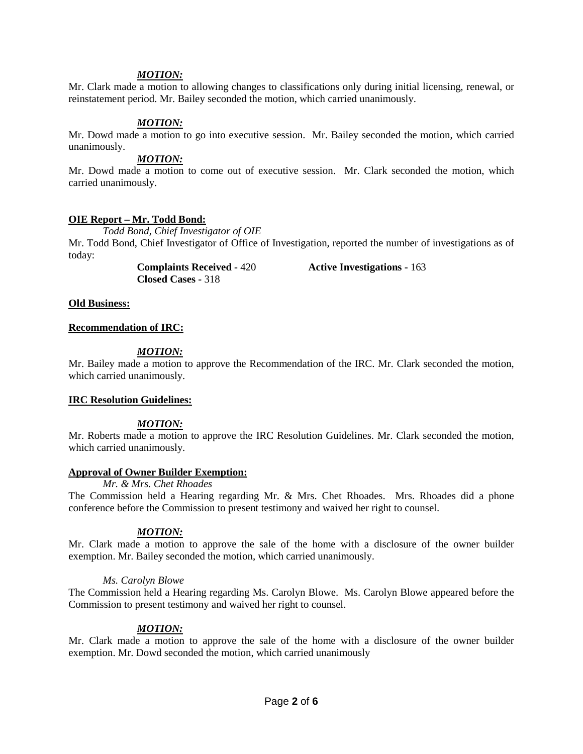#### *MOTION:*

Mr. Clark made a motion to allowing changes to classifications only during initial licensing, renewal, or reinstatement period. Mr. Bailey seconded the motion, which carried unanimously.

#### *MOTION:*

Mr. Dowd made a motion to go into executive session. Mr. Bailey seconded the motion, which carried unanimously.

#### *MOTION:*

Mr. Dowd made a motion to come out of executive session. Mr. Clark seconded the motion, which carried unanimously.

#### **OIE Report – Mr. Todd Bond:**

*Todd Bond, Chief Investigator of OIE*

Mr. Todd Bond, Chief Investigator of Office of Investigation, reported the number of investigations as of today:

**Closed Cases -** 318

**Complaints Received -** 420 **Active Investigations -** 163

#### **Old Business:**

#### **Recommendation of IRC:**

## *MOTION:*

Mr. Bailey made a motion to approve the Recommendation of the IRC. Mr. Clark seconded the motion, which carried unanimously.

#### **IRC Resolution Guidelines:**

*MOTION:*

Mr. Roberts made a motion to approve the IRC Resolution Guidelines. Mr. Clark seconded the motion, which carried unanimously.

#### **Approval of Owner Builder Exemption:**

*Mr. & Mrs. Chet Rhoades* The Commission held a Hearing regarding Mr. & Mrs. Chet Rhoades. Mrs. Rhoades did a phone conference before the Commission to present testimony and waived her right to counsel.

## *MOTION:*

Mr. Clark made a motion to approve the sale of the home with a disclosure of the owner builder exemption. Mr. Bailey seconded the motion, which carried unanimously.

#### *Ms. Carolyn Blowe*

The Commission held a Hearing regarding Ms. Carolyn Blowe. Ms. Carolyn Blowe appeared before the Commission to present testimony and waived her right to counsel.

## *MOTION:*

Mr. Clark made a motion to approve the sale of the home with a disclosure of the owner builder exemption. Mr. Dowd seconded the motion, which carried unanimously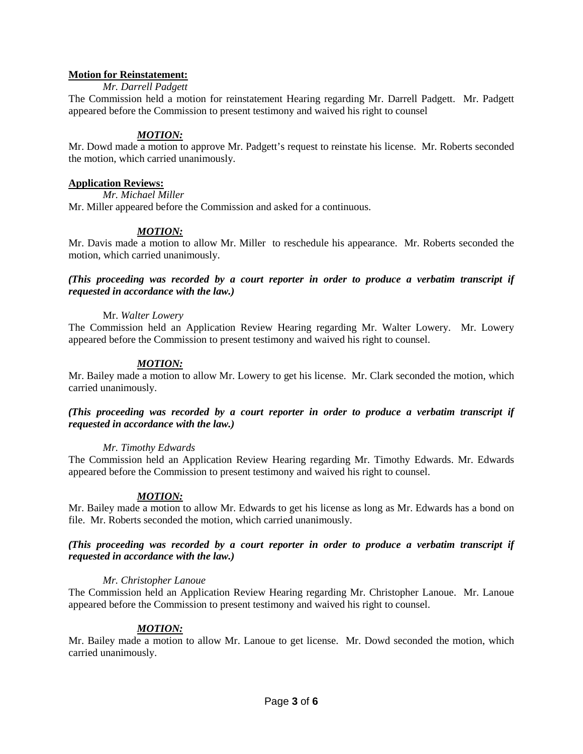## **Motion for Reinstatement:**

## *Mr. Darrell Padgett*

The Commission held a motion for reinstatement Hearing regarding Mr. Darrell Padgett. Mr. Padgett appeared before the Commission to present testimony and waived his right to counsel

# *MOTION:*

Mr. Dowd made a motion to approve Mr. Padgett's request to reinstate his license. Mr. Roberts seconded the motion, which carried unanimously.

## **Application Reviews:**

*Mr. Michael Miller*

Mr. Miller appeared before the Commission and asked for a continuous.

## *MOTION:*

Mr. Davis made a motion to allow Mr. Miller to reschedule his appearance. Mr. Roberts seconded the motion, which carried unanimously.

## *(This proceeding was recorded by a court reporter in order to produce a verbatim transcript if requested in accordance with the law.)*

## Mr. *Walter Lowery*

The Commission held an Application Review Hearing regarding Mr. Walter Lowery. Mr. Lowery appeared before the Commission to present testimony and waived his right to counsel.

## *MOTION:*

Mr. Bailey made a motion to allow Mr. Lowery to get his license. Mr. Clark seconded the motion, which carried unanimously.

## *(This proceeding was recorded by a court reporter in order to produce a verbatim transcript if requested in accordance with the law.)*

## *Mr. Timothy Edwards*

The Commission held an Application Review Hearing regarding Mr. Timothy Edwards. Mr. Edwards appeared before the Commission to present testimony and waived his right to counsel.

## *MOTION:*

Mr. Bailey made a motion to allow Mr. Edwards to get his license as long as Mr. Edwards has a bond on file. Mr. Roberts seconded the motion, which carried unanimously.

## *(This proceeding was recorded by a court reporter in order to produce a verbatim transcript if requested in accordance with the law.)*

## *Mr. Christopher Lanoue*

The Commission held an Application Review Hearing regarding Mr. Christopher Lanoue. Mr. Lanoue appeared before the Commission to present testimony and waived his right to counsel.

# *MOTION:*

Mr. Bailey made a motion to allow Mr. Lanoue to get license. Mr. Dowd seconded the motion, which carried unanimously.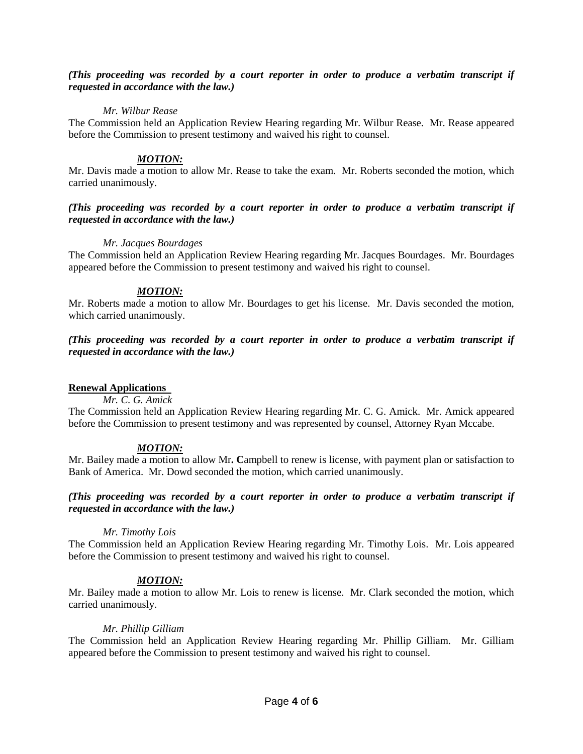## *(This proceeding was recorded by a court reporter in order to produce a verbatim transcript if requested in accordance with the law.)*

## *Mr. Wilbur Rease*

The Commission held an Application Review Hearing regarding Mr. Wilbur Rease. Mr. Rease appeared before the Commission to present testimony and waived his right to counsel.

## *MOTION:*

Mr. Davis made a motion to allow Mr. Rease to take the exam. Mr. Roberts seconded the motion, which carried unanimously.

## *(This proceeding was recorded by a court reporter in order to produce a verbatim transcript if requested in accordance with the law.)*

## *Mr. Jacques Bourdages*

The Commission held an Application Review Hearing regarding Mr. Jacques Bourdages. Mr. Bourdages appeared before the Commission to present testimony and waived his right to counsel.

## *MOTION:*

Mr. Roberts made a motion to allow Mr. Bourdages to get his license. Mr. Davis seconded the motion, which carried unanimously.

## *(This proceeding was recorded by a court reporter in order to produce a verbatim transcript if requested in accordance with the law.)*

## **Renewal Applications**

*Mr. C. G. Amick*

The Commission held an Application Review Hearing regarding Mr. C. G. Amick. Mr. Amick appeared before the Commission to present testimony and was represented by counsel, Attorney Ryan Mccabe.

# *MOTION:*

Mr. Bailey made a motion to allow Mr**. C**ampbell to renew is license, with payment plan or satisfaction to Bank of America. Mr. Dowd seconded the motion, which carried unanimously.

## *(This proceeding was recorded by a court reporter in order to produce a verbatim transcript if requested in accordance with the law.)*

## *Mr. Timothy Lois*

The Commission held an Application Review Hearing regarding Mr. Timothy Lois. Mr. Lois appeared before the Commission to present testimony and waived his right to counsel.

# *MOTION:*

Mr. Bailey made a motion to allow Mr. Lois to renew is license. Mr. Clark seconded the motion, which carried unanimously.

## *Mr. Phillip Gilliam*

The Commission held an Application Review Hearing regarding Mr. Phillip Gilliam. Mr. Gilliam appeared before the Commission to present testimony and waived his right to counsel.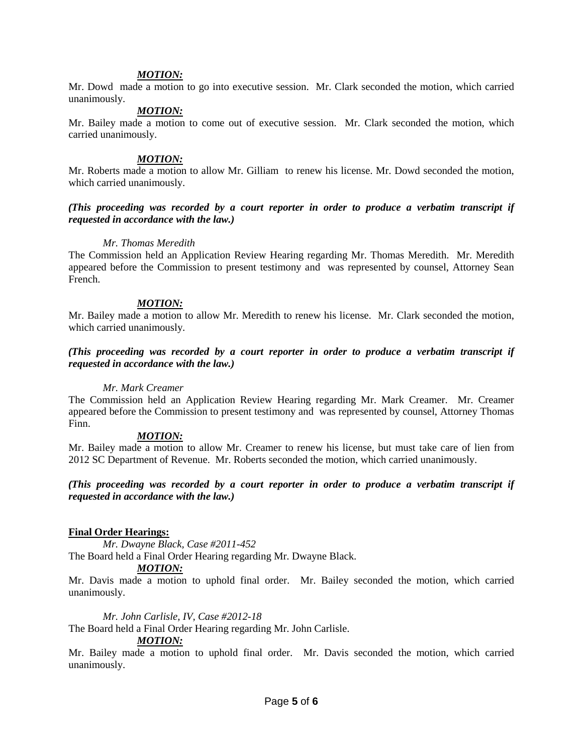#### *MOTION:*

Mr. Dowd made a motion to go into executive session. Mr. Clark seconded the motion, which carried unanimously.

## *MOTION:*

Mr. Bailey made a motion to come out of executive session. Mr. Clark seconded the motion, which carried unanimously.

## *MOTION:*

Mr. Roberts made a motion to allow Mr. Gilliam to renew his license. Mr. Dowd seconded the motion, which carried unanimously.

#### *(This proceeding was recorded by a court reporter in order to produce a verbatim transcript if requested in accordance with the law.)*

#### *Mr. Thomas Meredith*

The Commission held an Application Review Hearing regarding Mr. Thomas Meredith. Mr. Meredith appeared before the Commission to present testimony and was represented by counsel, Attorney Sean French.

## *MOTION:*

Mr. Bailey made a motion to allow Mr. Meredith to renew his license. Mr. Clark seconded the motion, which carried unanimously.

## *(This proceeding was recorded by a court reporter in order to produce a verbatim transcript if requested in accordance with the law.)*

#### *Mr. Mark Creamer*

The Commission held an Application Review Hearing regarding Mr. Mark Creamer. Mr. Creamer appeared before the Commission to present testimony and was represented by counsel, Attorney Thomas Finn.

#### *MOTION:*

Mr. Bailey made a motion to allow Mr. Creamer to renew his license, but must take care of lien from 2012 SC Department of Revenue. Mr. Roberts seconded the motion, which carried unanimously.

## *(This proceeding was recorded by a court reporter in order to produce a verbatim transcript if requested in accordance with the law.)*

## **Final Order Hearings:**

*Mr. Dwayne Black, Case #2011-452*

# The Board held a Final Order Hearing regarding Mr. Dwayne Black.

## *MOTION:*

Mr. Davis made a motion to uphold final order. Mr. Bailey seconded the motion, which carried unanimously.

*Mr. John Carlisle, IV, Case #2012-18*

The Board held a Final Order Hearing regarding Mr. John Carlisle.

#### *MOTION:*

Mr. Bailey made a motion to uphold final order. Mr. Davis seconded the motion, which carried unanimously.